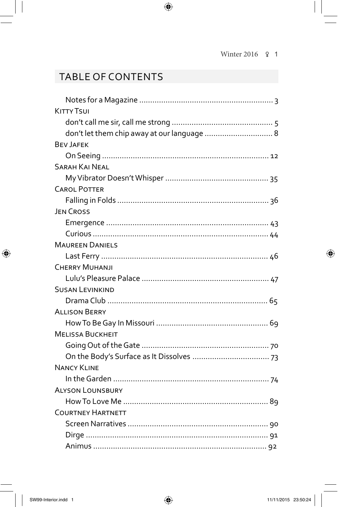## Table of ConTenTs

| <b>KITTY TSUI</b>                           |
|---------------------------------------------|
|                                             |
| don't let them chip away at our language  8 |
| <b>BEV JAFEK</b>                            |
|                                             |
| <b>SARAH KAI NEAL</b>                       |
|                                             |
| <b>CAROL POTTER</b>                         |
|                                             |
| <b>JEN CROSS</b>                            |
|                                             |
|                                             |
| <b>MAUREEN DANIELS</b>                      |
|                                             |
| <b>CHERRY MUHANJI</b>                       |
|                                             |
| <b>SUSAN LEVINKIND</b>                      |
|                                             |
| <b>ALLISON BERRY</b>                        |
|                                             |
| <b>MELISSA BUCKHEIT</b>                     |
|                                             |
|                                             |
| <b>NANCY KLINE</b>                          |
|                                             |
| <b>ALYSON LOUNSBURY</b>                     |
|                                             |
| <b>COURTNEY HARTNETT</b>                    |
|                                             |
|                                             |
|                                             |